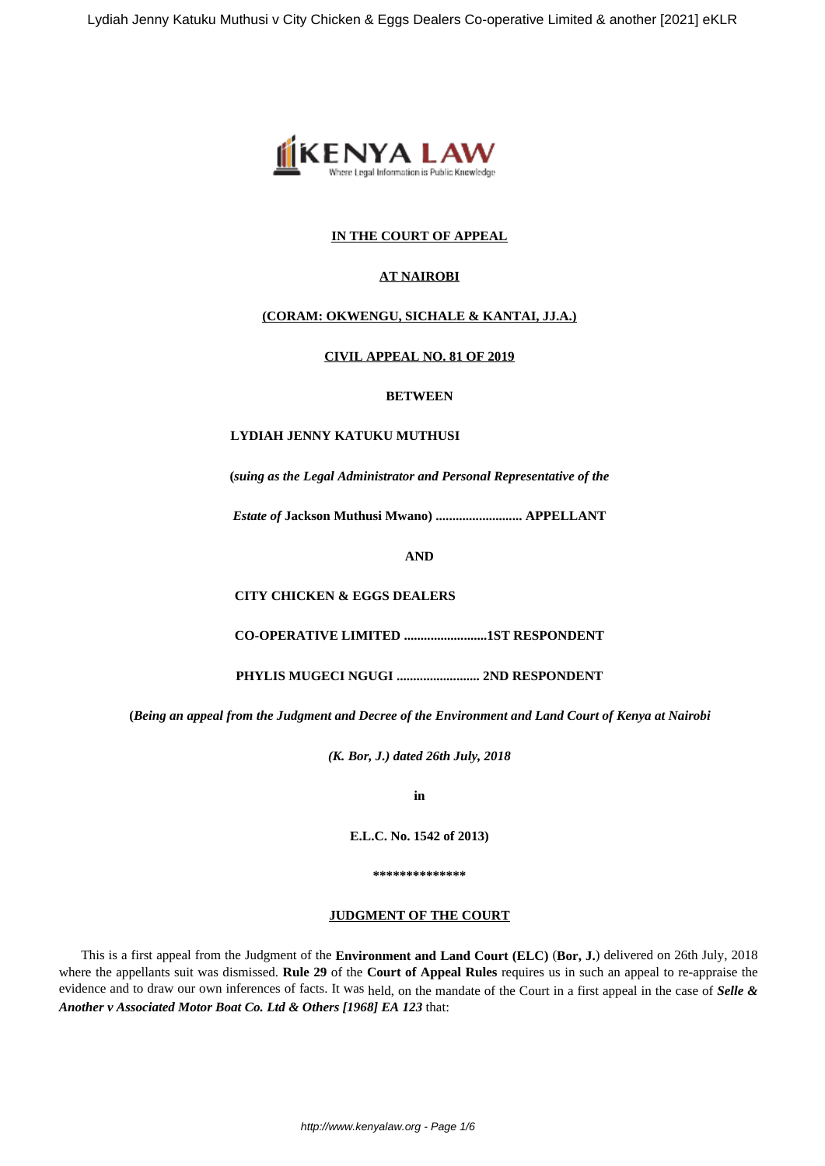

# **IN THE COURT OF APPEAL**

# **AT NAIROBI**

# **(CORAM: OKWENGU, SICHALE & KANTAI, JJ.A.)**

## **CIVIL APPEAL NO. 81 OF 2019**

## **BETWEEN**

### **LYDIAH JENNY KATUKU MUTHUSI**

**(***suing as the Legal Administrator and Personal Representative of the*

*Estate of* **Jackson Muthusi Mwano) .......................... APPELLANT**

**AND**

**CITY CHICKEN & EGGS DEALERS**

**CO-OPERATIVE LIMITED .........................1ST RESPONDENT**

**PHYLIS MUGECI NGUGI ......................... 2ND RESPONDENT**

**(***Being an appeal from the Judgment and Decree of the Environment and Land Court of Kenya at Nairobi*

*(K. Bor, J.) dated 26th July, 2018*

**in**

**E.L.C. No. 1542 of 2013)**

**\*\*\*\*\*\*\*\*\*\*\*\*\*\***

### **JUDGMENT OF THE COURT**

This is a first appeal from the Judgment of the **Environment and Land Court (ELC)** (**Bor, J.**) delivered on 26th July, 2018 where the appellants suit was dismissed. **Rule 29** of the **Court of Appeal Rules** requires us in such an appeal to re-appraise the evidence and to draw our own inferences of facts. It was held, on the mandate of the Court in a first appeal in the case of *Selle & Another v Associated Motor Boat Co. Ltd & Others [1968] EA 123* that: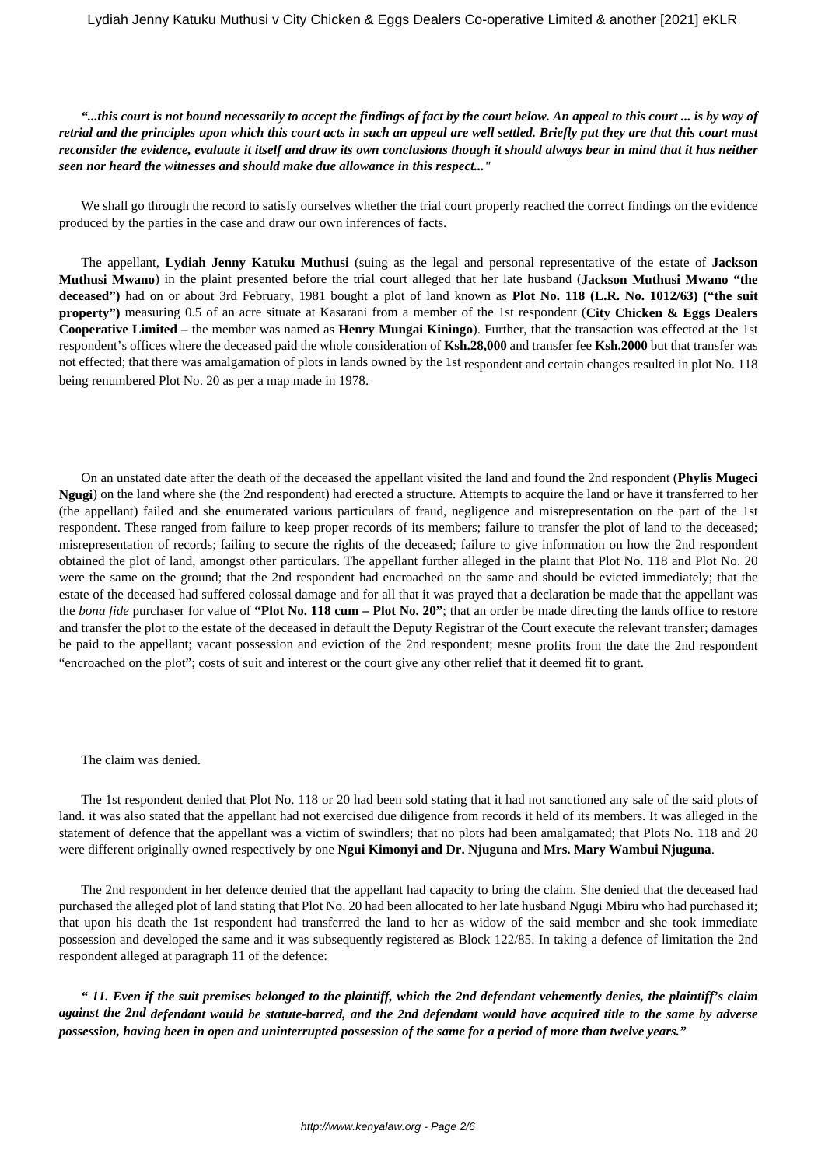## *"...this court is not bound necessarily to accept the findings of fact by the court below. An appeal to this court ... is by way of retrial and the principles upon which this court acts in such an appeal are well settled. Briefly put they are that this court must reconsider the evidence, evaluate it itself and draw its own conclusions though it should always bear in mind that it has neither seen nor heard the witnesses and should make due allowance in this respect..."*

We shall go through the record to satisfy ourselves whether the trial court properly reached the correct findings on the evidence produced by the parties in the case and draw our own inferences of facts.

The appellant, **Lydiah Jenny Katuku Muthusi** (suing as the legal and personal representative of the estate of **Jackson Muthusi Mwano**) in the plaint presented before the trial court alleged that her late husband (**Jackson Muthusi Mwano "the deceased")** had on or about 3rd February, 1981 bought a plot of land known as **Plot No. 118 (L.R. No. 1012/63) ("the suit property")** measuring 0.5 of an acre situate at Kasarani from a member of the 1st respondent (**City Chicken & Eggs Dealers Cooperative Limited** – the member was named as **Henry Mungai Kiningo**). Further, that the transaction was effected at the 1st respondent's offices where the deceased paid the whole consideration of **Ksh.28,000** and transfer fee **Ksh.2000** but that transfer was not effected; that there was amalgamation of plots in lands owned by the 1st respondent and certain changes resulted in plot No. 118 being renumbered Plot No. 20 as per a map made in 1978.

On an unstated date after the death of the deceased the appellant visited the land and found the 2nd respondent (**Phylis Mugeci Ngugi**) on the land where she (the 2nd respondent) had erected a structure. Attempts to acquire the land or have it transferred to her (the appellant) failed and she enumerated various particulars of fraud, negligence and misrepresentation on the part of the 1st respondent. These ranged from failure to keep proper records of its members; failure to transfer the plot of land to the deceased; misrepresentation of records; failing to secure the rights of the deceased; failure to give information on how the 2nd respondent obtained the plot of land, amongst other particulars. The appellant further alleged in the plaint that Plot No. 118 and Plot No. 20 were the same on the ground; that the 2nd respondent had encroached on the same and should be evicted immediately; that the estate of the deceased had suffered colossal damage and for all that it was prayed that a declaration be made that the appellant was the *bona fide* purchaser for value of **"Plot No. 118 cum – Plot No. 20"**; that an order be made directing the lands office to restore and transfer the plot to the estate of the deceased in default the Deputy Registrar of the Court execute the relevant transfer; damages be paid to the appellant; vacant possession and eviction of the 2nd respondent; mesne profits from the date the 2nd respondent "encroached on the plot"; costs of suit and interest or the court give any other relief that it deemed fit to grant.

The claim was denied.

The 1st respondent denied that Plot No. 118 or 20 had been sold stating that it had not sanctioned any sale of the said plots of land. it was also stated that the appellant had not exercised due diligence from records it held of its members. It was alleged in the statement of defence that the appellant was a victim of swindlers; that no plots had been amalgamated; that Plots No. 118 and 20 were different originally owned respectively by one **Ngui Kimonyi and Dr. Njuguna** and **Mrs. Mary Wambui Njuguna**.

The 2nd respondent in her defence denied that the appellant had capacity to bring the claim. She denied that the deceased had purchased the alleged plot of land stating that Plot No. 20 had been allocated to her late husband Ngugi Mbiru who had purchased it; that upon his death the 1st respondent had transferred the land to her as widow of the said member and she took immediate possession and developed the same and it was subsequently registered as Block 122/85. In taking a defence of limitation the 2nd respondent alleged at paragraph 11 of the defence:

*" 11. Even if the suit premises belonged to the plaintiff, which the 2nd defendant vehemently denies, the plaintiff's claim against the 2nd defendant would be statute-barred, and the 2nd defendant would have acquired title to the same by adverse possession, having been in open and uninterrupted possession of the same for a period of more than twelve years."*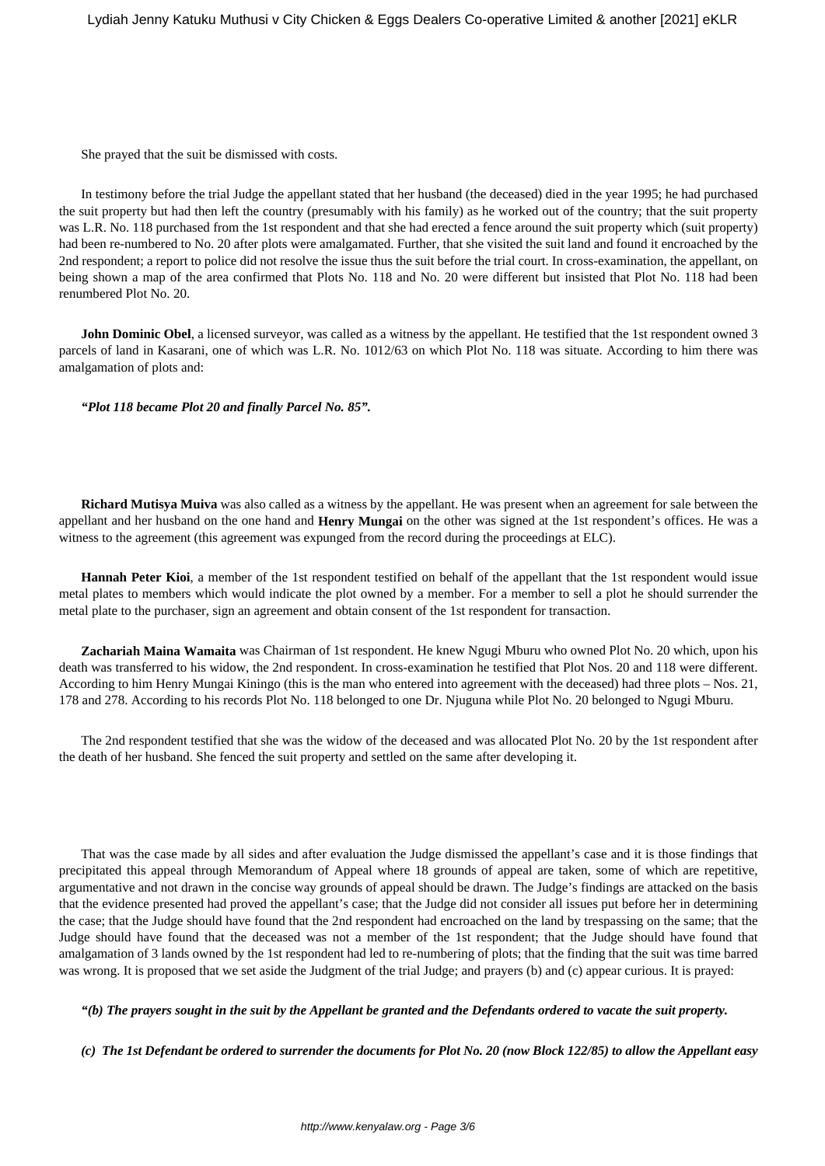She prayed that the suit be dismissed with costs.

In testimony before the trial Judge the appellant stated that her husband (the deceased) died in the year 1995; he had purchased the suit property but had then left the country (presumably with his family) as he worked out of the country; that the suit property was L.R. No. 118 purchased from the 1st respondent and that she had erected a fence around the suit property which (suit property) had been re-numbered to No. 20 after plots were amalgamated. Further, that she visited the suit land and found it encroached by the 2nd respondent; a report to police did not resolve the issue thus the suit before the trial court. In cross-examination, the appellant, on being shown a map of the area confirmed that Plots No. 118 and No. 20 were different but insisted that Plot No. 118 had been renumbered Plot No. 20.

**John Dominic Obel**, a licensed surveyor, was called as a witness by the appellant. He testified that the 1st respondent owned 3 parcels of land in Kasarani, one of which was L.R. No. 1012/63 on which Plot No. 118 was situate. According to him there was amalgamation of plots and:

*"Plot 118 became Plot 20 and finally Parcel No. 85".*

**Richard Mutisya Muiva** was also called as a witness by the appellant. He was present when an agreement for sale between the appellant and her husband on the one hand and **Henry Mungai** on the other was signed at the 1st respondent's offices. He was a witness to the agreement (this agreement was expunged from the record during the proceedings at ELC).

**Hannah Peter Kioi**, a member of the 1st respondent testified on behalf of the appellant that the 1st respondent would issue metal plates to members which would indicate the plot owned by a member. For a member to sell a plot he should surrender the metal plate to the purchaser, sign an agreement and obtain consent of the 1st respondent for transaction.

**Zachariah Maina Wamaita** was Chairman of 1st respondent. He knew Ngugi Mburu who owned Plot No. 20 which, upon his death was transferred to his widow, the 2nd respondent. In cross-examination he testified that Plot Nos. 20 and 118 were different. According to him Henry Mungai Kiningo (this is the man who entered into agreement with the deceased) had three plots – Nos. 21, 178 and 278. According to his records Plot No. 118 belonged to one Dr. Njuguna while Plot No. 20 belonged to Ngugi Mburu.

The 2nd respondent testified that she was the widow of the deceased and was allocated Plot No. 20 by the 1st respondent after the death of her husband. She fenced the suit property and settled on the same after developing it.

That was the case made by all sides and after evaluation the Judge dismissed the appellant's case and it is those findings that precipitated this appeal through Memorandum of Appeal where 18 grounds of appeal are taken, some of which are repetitive, argumentative and not drawn in the concise way grounds of appeal should be drawn. The Judge's findings are attacked on the basis that the evidence presented had proved the appellant's case; that the Judge did not consider all issues put before her in determining the case; that the Judge should have found that the 2nd respondent had encroached on the land by trespassing on the same; that the Judge should have found that the deceased was not a member of the 1st respondent; that the Judge should have found that amalgamation of 3 lands owned by the 1st respondent had led to re-numbering of plots; that the finding that the suit was time barred was wrong. It is proposed that we set aside the Judgment of the trial Judge; and prayers (b) and (c) appear curious. It is prayed:

*"(b) The prayers sought in the suit by the Appellant be granted and the Defendants ordered to vacate the suit property.*

*(c) The 1st Defendant be ordered to surrender the documents for Plot No. 20 (now Block 122/85) to allow the Appellant easy*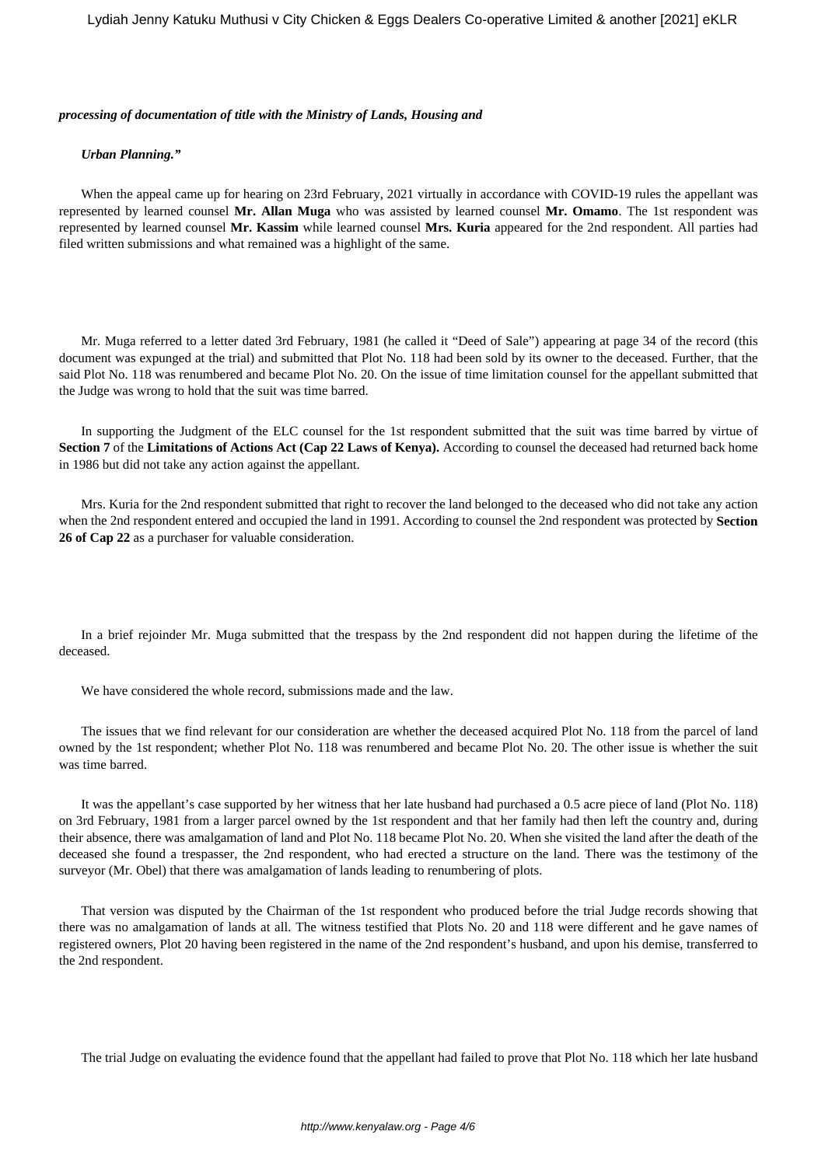#### *processing of documentation of title with the Ministry of Lands, Housing and*

#### *Urban Planning."*

When the appeal came up for hearing on 23rd February, 2021 virtually in accordance with COVID-19 rules the appellant was represented by learned counsel **Mr. Allan Muga** who was assisted by learned counsel **Mr. Omamo**. The 1st respondent was represented by learned counsel **Mr. Kassim** while learned counsel **Mrs. Kuria** appeared for the 2nd respondent. All parties had filed written submissions and what remained was a highlight of the same.

Mr. Muga referred to a letter dated 3rd February, 1981 (he called it "Deed of Sale") appearing at page 34 of the record (this document was expunged at the trial) and submitted that Plot No. 118 had been sold by its owner to the deceased. Further, that the said Plot No. 118 was renumbered and became Plot No. 20. On the issue of time limitation counsel for the appellant submitted that the Judge was wrong to hold that the suit was time barred.

In supporting the Judgment of the ELC counsel for the 1st respondent submitted that the suit was time barred by virtue of **Section 7** of the **Limitations of Actions Act (Cap 22 Laws of Kenya).** According to counsel the deceased had returned back home in 1986 but did not take any action against the appellant.

Mrs. Kuria for the 2nd respondent submitted that right to recover the land belonged to the deceased who did not take any action when the 2nd respondent entered and occupied the land in 1991. According to counsel the 2nd respondent was protected by **Section 26 of Cap 22** as a purchaser for valuable consideration.

In a brief rejoinder Mr. Muga submitted that the trespass by the 2nd respondent did not happen during the lifetime of the deceased.

We have considered the whole record, submissions made and the law.

The issues that we find relevant for our consideration are whether the deceased acquired Plot No. 118 from the parcel of land owned by the 1st respondent; whether Plot No. 118 was renumbered and became Plot No. 20. The other issue is whether the suit was time barred.

It was the appellant's case supported by her witness that her late husband had purchased a 0.5 acre piece of land (Plot No. 118) on 3rd February, 1981 from a larger parcel owned by the 1st respondent and that her family had then left the country and, during their absence, there was amalgamation of land and Plot No. 118 became Plot No. 20. When she visited the land after the death of the deceased she found a trespasser, the 2nd respondent, who had erected a structure on the land. There was the testimony of the surveyor (Mr. Obel) that there was amalgamation of lands leading to renumbering of plots.

That version was disputed by the Chairman of the 1st respondent who produced before the trial Judge records showing that there was no amalgamation of lands at all. The witness testified that Plots No. 20 and 118 were different and he gave names of registered owners, Plot 20 having been registered in the name of the 2nd respondent's husband, and upon his demise, transferred to the 2nd respondent.

The trial Judge on evaluating the evidence found that the appellant had failed to prove that Plot No. 118 which her late husband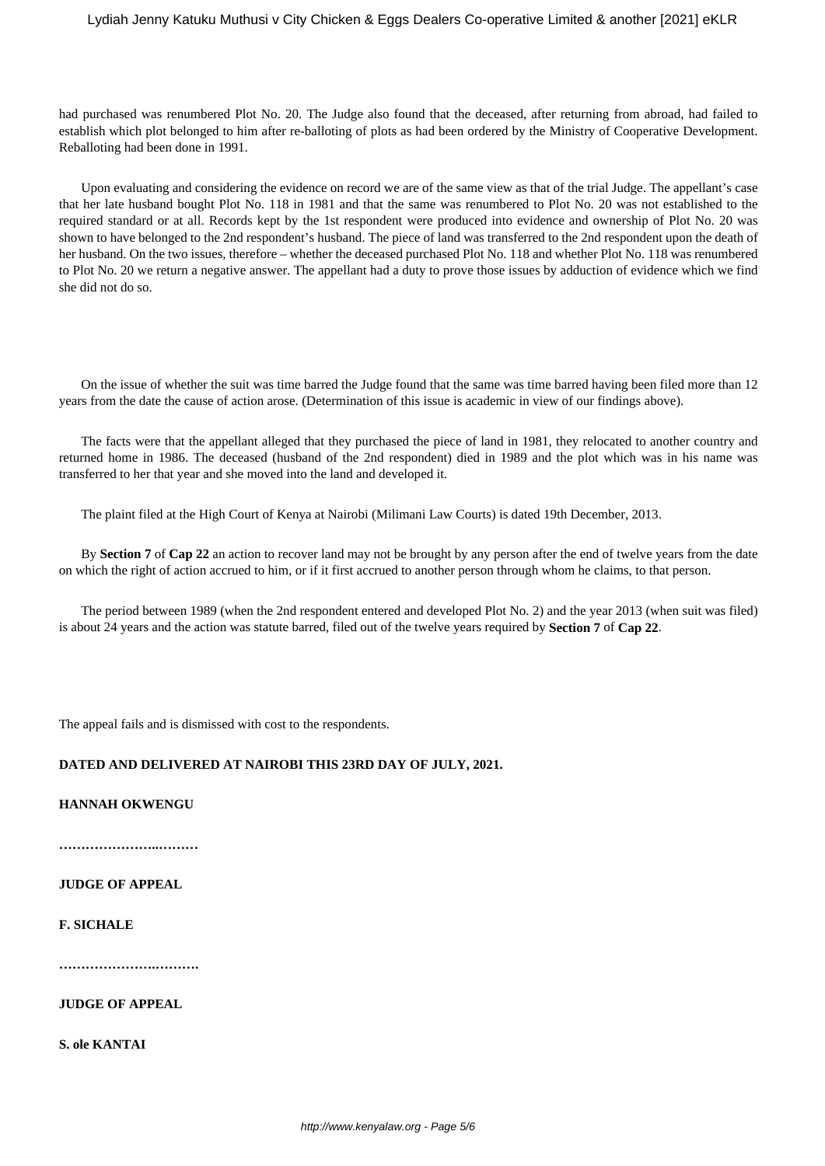# Lydiah Jenny Katuku Muthusi v City Chicken & Eggs Dealers Co-operative Limited & another [2021] eKLR

had purchased was renumbered Plot No. 20. The Judge also found that the deceased, after returning from abroad, had failed to establish which plot belonged to him after re-balloting of plots as had been ordered by the Ministry of Cooperative Development. Reballoting had been done in 1991.

Upon evaluating and considering the evidence on record we are of the same view as that of the trial Judge. The appellant's case that her late husband bought Plot No. 118 in 1981 and that the same was renumbered to Plot No. 20 was not established to the required standard or at all. Records kept by the 1st respondent were produced into evidence and ownership of Plot No. 20 was shown to have belonged to the 2nd respondent's husband. The piece of land was transferred to the 2nd respondent upon the death of her husband. On the two issues, therefore – whether the deceased purchased Plot No. 118 and whether Plot No. 118 was renumbered to Plot No. 20 we return a negative answer. The appellant had a duty to prove those issues by adduction of evidence which we find she did not do so.

On the issue of whether the suit was time barred the Judge found that the same was time barred having been filed more than 12 years from the date the cause of action arose. (Determination of this issue is academic in view of our findings above).

The facts were that the appellant alleged that they purchased the piece of land in 1981, they relocated to another country and returned home in 1986. The deceased (husband of the 2nd respondent) died in 1989 and the plot which was in his name was transferred to her that year and she moved into the land and developed it.

The plaint filed at the High Court of Kenya at Nairobi (Milimani Law Courts) is dated 19th December, 2013.

By **Section 7** of **Cap 22** an action to recover land may not be brought by any person after the end of twelve years from the date on which the right of action accrued to him, or if it first accrued to another person through whom he claims, to that person.

The period between 1989 (when the 2nd respondent entered and developed Plot No. 2) and the year 2013 (when suit was filed) is about 24 years and the action was statute barred, filed out of the twelve years required by **Section 7** of **Cap 22**.

The appeal fails and is dismissed with cost to the respondents.

# **DATED AND DELIVERED AT NAIROBI THIS 23RD DAY OF JULY, 2021.**

**HANNAH OKWENGU**

**…………………..………**

## **JUDGE OF APPEAL**

## **F. SICHALE**

**………………….……….**

**JUDGE OF APPEAL**

**S. ole KANTAI**